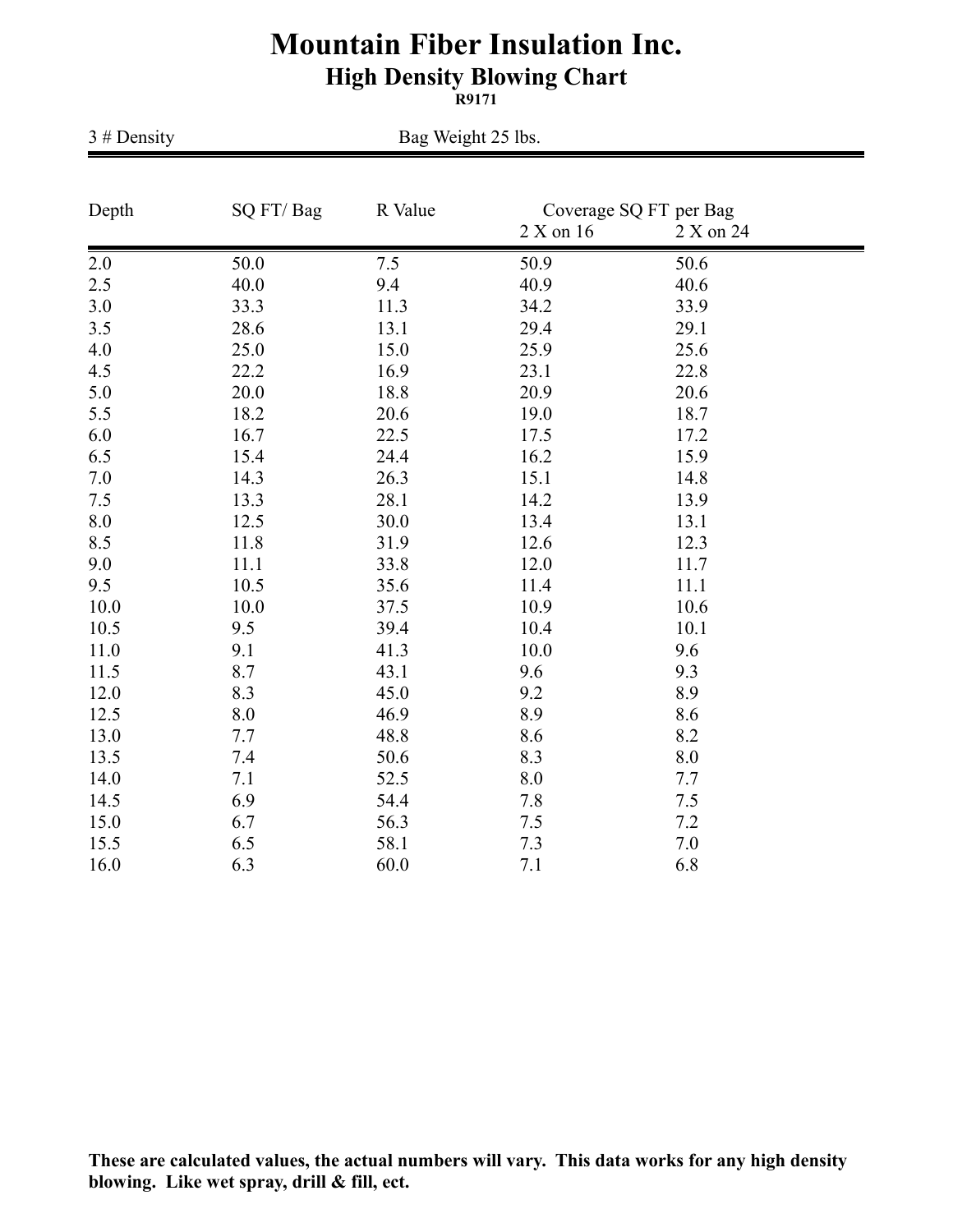## **Mountain Fiber Insulation Inc. High Density Blowing Chart**

**R9171**

| $3 \# Density$ | Bag Weight 25 lbs. |         |                                                  |      |  |  |
|----------------|--------------------|---------|--------------------------------------------------|------|--|--|
| Depth          | SQ FT/Bag          | R Value | Coverage SQ FT per Bag<br>2 X on 16<br>2 X on 24 |      |  |  |
| 2.0            | 50.0               | 7.5     | 50.9                                             | 50.6 |  |  |
| 2.5            | 40.0               | 9.4     | 40.9                                             | 40.6 |  |  |
| 3.0            | 33.3               | 11.3    | 34.2                                             | 33.9 |  |  |
| 3.5            | 28.6               | 13.1    | 29.4                                             | 29.1 |  |  |
| 4.0            | 25.0               | 15.0    | 25.9                                             | 25.6 |  |  |
| 4.5            | 22.2               | 16.9    | 23.1                                             | 22.8 |  |  |
| 5.0            | 20.0               | 18.8    | 20.9                                             | 20.6 |  |  |
| 5.5            | 18.2               | 20.6    | 19.0                                             | 18.7 |  |  |
| 6.0            | 16.7               | 22.5    | 17.5                                             | 17.2 |  |  |
| 6.5            | 15.4               | 24.4    | 16.2                                             | 15.9 |  |  |
| 7.0            | 14.3               | 26.3    | 15.1                                             | 14.8 |  |  |
| 7.5            | 13.3               | 28.1    | 14.2                                             | 13.9 |  |  |
| 8.0            | 12.5               | 30.0    | 13.4                                             | 13.1 |  |  |
| 8.5            | 11.8               | 31.9    | 12.6                                             | 12.3 |  |  |
| 9.0            | 11.1               | 33.8    | 12.0                                             | 11.7 |  |  |
| 9.5            | 10.5               | 35.6    | 11.4                                             | 11.1 |  |  |
| 10.0           | 10.0               | 37.5    | 10.9                                             | 10.6 |  |  |
| 10.5           | 9.5                | 39.4    | 10.4                                             | 10.1 |  |  |
| 11.0           | 9.1                | 41.3    | 10.0                                             | 9.6  |  |  |
| 11.5           | 8.7                | 43.1    | 9.6                                              | 9.3  |  |  |
| 12.0           | 8.3                | 45.0    | 9.2                                              | 8.9  |  |  |
| 12.5           | 8.0                | 46.9    | 8.9                                              | 8.6  |  |  |
| 13.0           | 7.7                | 48.8    | 8.6                                              | 8.2  |  |  |
| 13.5           | 7.4                | 50.6    | 8.3                                              | 8.0  |  |  |
| 14.0           | 7.1                | 52.5    | 8.0                                              | 7.7  |  |  |
| 14.5           | 6.9                | 54.4    | 7.8                                              | 7.5  |  |  |
| 15.0           | 6.7                | 56.3    | 7.5                                              | 7.2  |  |  |
| 15.5           | 6.5                | 58.1    | 7.3                                              | 7.0  |  |  |
| 16.0           | 6.3                | 60.0    | 7.1                                              | 6.8  |  |  |

**These are calculated values, the actual numbers will vary. This data works for any high density blowing. Like wet spray, drill & fill, ect.**